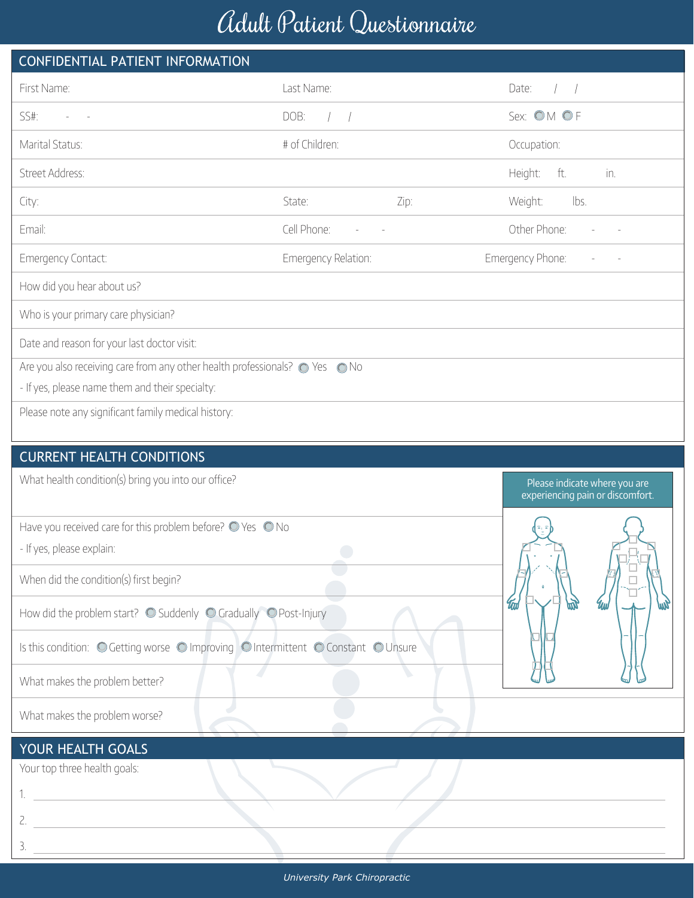## Adult Patient Questionnaire

| CONFIDENTIAL PATIENT INFORMATION                                                  |                     |                                                                   |                       |  |  |  |  |  |  |  |
|-----------------------------------------------------------------------------------|---------------------|-------------------------------------------------------------------|-----------------------|--|--|--|--|--|--|--|
| First Name:                                                                       | Last Name:          |                                                                   | Date:                 |  |  |  |  |  |  |  |
| SS#:                                                                              | DOB:<br>$\sqrt{2}$  |                                                                   | Sex: OM OF            |  |  |  |  |  |  |  |
| Marital Status:                                                                   | # of Children:      |                                                                   | Occupation:           |  |  |  |  |  |  |  |
| Street Address:                                                                   |                     |                                                                   | ft.<br>Height:<br>in. |  |  |  |  |  |  |  |
| City:                                                                             | State:              | Zip:                                                              | Weight:<br>lbs.       |  |  |  |  |  |  |  |
| Email:                                                                            | Cell Phone:         |                                                                   | Other Phone:          |  |  |  |  |  |  |  |
| Emergency Contact:                                                                | Emergency Relation: |                                                                   | Emergency Phone:      |  |  |  |  |  |  |  |
| How did you hear about us?                                                        |                     |                                                                   |                       |  |  |  |  |  |  |  |
| Who is your primary care physician?                                               |                     |                                                                   |                       |  |  |  |  |  |  |  |
| Date and reason for your last doctor visit:                                       |                     |                                                                   |                       |  |  |  |  |  |  |  |
| Are you also receiving care from any other health professionals? · Yes · O No     |                     |                                                                   |                       |  |  |  |  |  |  |  |
| - If yes, please name them and their specialty:                                   |                     |                                                                   |                       |  |  |  |  |  |  |  |
| Please note any significant family medical history:                               |                     |                                                                   |                       |  |  |  |  |  |  |  |
|                                                                                   |                     |                                                                   |                       |  |  |  |  |  |  |  |
| <b>CURRENT HEALTH CONDITIONS</b>                                                  |                     |                                                                   |                       |  |  |  |  |  |  |  |
| What health condition(s) bring you into our office?                               |                     | Please indicate where you are<br>experiencing pain or discomfort. |                       |  |  |  |  |  |  |  |
| Have you received care for this problem before? O Yes O No                        |                     |                                                                   |                       |  |  |  |  |  |  |  |
| - If yes, please explain:                                                         |                     |                                                                   |                       |  |  |  |  |  |  |  |
| When did the condition(s) first begin?                                            |                     |                                                                   |                       |  |  |  |  |  |  |  |
| How did the problem start? O Suddenly O Gradually O Post-Injury                   |                     |                                                                   | <b>Tud</b><br>俪<br>Чı |  |  |  |  |  |  |  |
| Is this condition: O Getting worse O Improving O Intermittent O Constant O Unsure |                     |                                                                   |                       |  |  |  |  |  |  |  |
| What makes the problem better?                                                    |                     |                                                                   |                       |  |  |  |  |  |  |  |
| What makes the problem worse?                                                     |                     |                                                                   |                       |  |  |  |  |  |  |  |

## YOUR HEALTH GOALS

Your top three health goals:

1.

3.